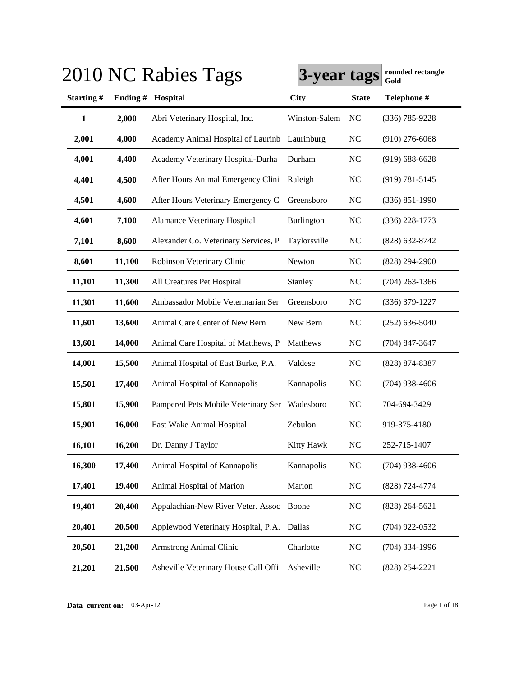|              |        | 2010 NC Rabies 1 ags                 | 3-year tags       |              | rounded rectangle<br>Gold |
|--------------|--------|--------------------------------------|-------------------|--------------|---------------------------|
| Starting#    |        | Ending # Hospital                    | City              | <b>State</b> | Telephone #               |
| $\mathbf{1}$ | 2,000  | Abri Veterinary Hospital, Inc.       | Winston-Salem     | NC           | $(336) 785 - 9228$        |
| 2,001        | 4,000  | Academy Animal Hospital of Laurinb   | Laurinburg        | <b>NC</b>    | $(910)$ 276-6068          |
| 4,001        | 4,400  | Academy Veterinary Hospital-Durha    | Durham            | <b>NC</b>    | $(919) 688 - 6628$        |
| 4,401        | 4,500  | After Hours Animal Emergency Clini   | Raleigh           | <b>NC</b>    | $(919) 781 - 5145$        |
| 4,501        | 4,600  | After Hours Veterinary Emergency C   | Greensboro        | <b>NC</b>    | $(336) 851 - 1990$        |
| 4,601        | 7,100  | Alamance Veterinary Hospital         | Burlington        | <b>NC</b>    | $(336)$ 228-1773          |
| 7,101        | 8,600  | Alexander Co. Veterinary Services, P | Taylorsville      | <b>NC</b>    | $(828) 632 - 8742$        |
| 8,601        | 11,100 | Robinson Veterinary Clinic           | Newton            | <b>NC</b>    | $(828)$ 294-2900          |
| 11,101       | 11,300 | All Creatures Pet Hospital           | Stanley           | <b>NC</b>    | $(704)$ 263-1366          |
| 11,301       | 11,600 | Ambassador Mobile Veterinarian Ser   | Greensboro        | <b>NC</b>    | $(336)$ 379-1227          |
| 11,601       | 13,600 | Animal Care Center of New Bern       | New Bern          | <b>NC</b>    | $(252)$ 636-5040          |
| 13,601       | 14,000 | Animal Care Hospital of Matthews, P  | Matthews          | <b>NC</b>    | $(704)$ 847-3647          |
| 14,001       | 15,500 | Animal Hospital of East Burke, P.A.  | Valdese           | <b>NC</b>    | $(828)$ 874-8387          |
| 15,501       | 17,400 | Animal Hospital of Kannapolis        | Kannapolis        | <b>NC</b>    | $(704)$ 938-4606          |
| 15,801       | 15,900 | Pampered Pets Mobile Veterinary Ser  | Wadesboro         | <b>NC</b>    | 704-694-3429              |
| 15,901       | 16,000 | East Wake Animal Hospital            | Zebulon           | <b>NC</b>    | 919-375-4180              |
| 16,101       | 16,200 | Dr. Danny J Taylor                   | <b>Kitty Hawk</b> | <b>NC</b>    | 252-715-1407              |
| 16,300       | 17,400 | Animal Hospital of Kannapolis        | Kannapolis        | <b>NC</b>    | $(704)$ 938-4606          |
| 17,401       | 19,400 | Animal Hospital of Marion            | Marion            | <b>NC</b>    | (828) 724-4774            |
| 19,401       | 20,400 | Appalachian-New River Veter. Assoc   | Boone             | <b>NC</b>    | $(828)$ 264-5621          |
| 20,401       | 20,500 | Applewood Veterinary Hospital, P.A.  | Dallas            | <b>NC</b>    | $(704)$ 922-0532          |
| 20,501       | 21,200 | Armstrong Animal Clinic              | Charlotte         | <b>NC</b>    | $(704)$ 334-1996          |
| 21,201       | 21,500 | Asheville Veterinary House Call Offi | Asheville         | <b>NC</b>    | $(828)$ 254-2221          |

# **3010 NC Rabies Tags 1**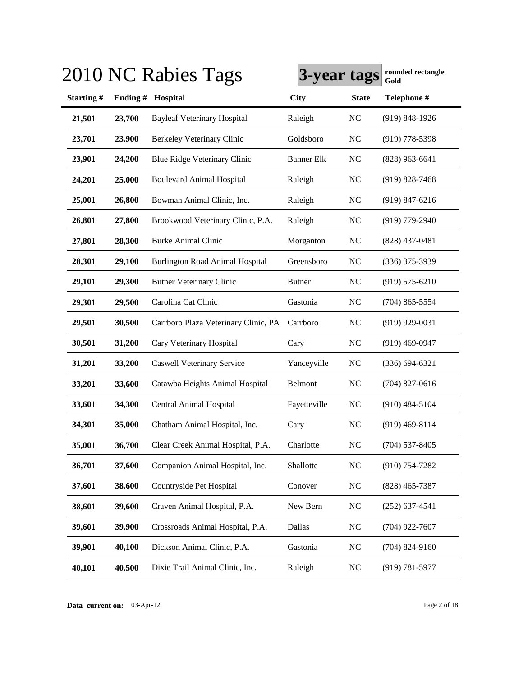|           |         | 2010 NC Rabies Tags                    | 3-year tags       |              | rounded rectangle<br>Gold |
|-----------|---------|----------------------------------------|-------------------|--------------|---------------------------|
| Starting# | Ending# | Hospital                               | <b>City</b>       | <b>State</b> | Telephone #               |
| 21,501    | 23,700  | <b>Bayleaf Veterinary Hospital</b>     | Raleigh           | <b>NC</b>    | $(919)$ 848-1926          |
| 23,701    | 23,900  | <b>Berkeley Veterinary Clinic</b>      | Goldsboro         | <b>NC</b>    | $(919)$ 778-5398          |
| 23,901    | 24,200  | Blue Ridge Veterinary Clinic           | <b>Banner Elk</b> | <b>NC</b>    | $(828)$ 963-6641          |
| 24,201    | 25,000  | <b>Boulevard Animal Hospital</b>       | Raleigh           | <b>NC</b>    | $(919)$ 828-7468          |
| 25,001    | 26,800  | Bowman Animal Clinic, Inc.             | Raleigh           | NC           | $(919)$ 847-6216          |
| 26,801    | 27,800  | Brookwood Veterinary Clinic, P.A.      | Raleigh           | NC           | $(919)$ 779-2940          |
| 27,801    | 28,300  | <b>Burke Animal Clinic</b>             | Morganton         | <b>NC</b>    | $(828)$ 437-0481          |
| 28,301    | 29,100  | <b>Burlington Road Animal Hospital</b> | Greensboro        | NC           | $(336)$ 375-3939          |
| 29,101    | 29,300  | <b>Butner Veterinary Clinic</b>        | <b>Butner</b>     | <b>NC</b>    | $(919) 575 - 6210$        |
| 29,301    | 29,500  | Carolina Cat Clinic                    | Gastonia          | <b>NC</b>    | $(704)$ 865-5554          |
| 29,501    | 30,500  | Carrboro Plaza Veterinary Clinic, PA   | Carrboro          | <b>NC</b>    | $(919)$ 929-0031          |
| 30,501    | 31,200  | Cary Veterinary Hospital               | Cary              | <b>NC</b>    | $(919)$ 469-0947          |
| 31,201    | 33,200  | <b>Caswell Veterinary Service</b>      | Yanceyville       | <b>NC</b>    | $(336) 694 - 6321$        |
| 33,201    | 33,600  | Catawba Heights Animal Hospital        | Belmont           | <b>NC</b>    | $(704)$ 827-0616          |
| 33,601    | 34,300  | <b>Central Animal Hospital</b>         | Fayetteville      | <b>NC</b>    | $(910)$ 484-5104          |
| 34,301    | 35,000  | Chatham Animal Hospital, Inc.          | Cary              | <b>NC</b>    | $(919)$ 469-8114          |
| 35,001    | 36,700  | Clear Creek Animal Hospital, P.A.      | Charlotte         | <b>NC</b>    | $(704)$ 537-8405          |
| 36,701    | 37,600  | Companion Animal Hospital, Inc.        | Shallotte         | NC           | $(910)$ 754-7282          |
| 37,601    | 38,600  | Countryside Pet Hospital               | Conover           | ${\rm NC}$   | $(828)$ 465-7387          |
| 38,601    | 39,600  | Craven Animal Hospital, P.A.           | New Bern          | $\rm NC$     | $(252)$ 637-4541          |
| 39,601    | 39,900  | Crossroads Animal Hospital, P.A.       | Dallas            | NC           | $(704)$ 922-7607          |
| 39,901    | 40,100  | Dickson Animal Clinic, P.A.            | Gastonia          | NC           | $(704)$ 824-9160          |
| 40,101    | 40,500  | Dixie Trail Animal Clinic, Inc.        | Raleigh           | <b>NC</b>    | $(919) 781 - 5977$        |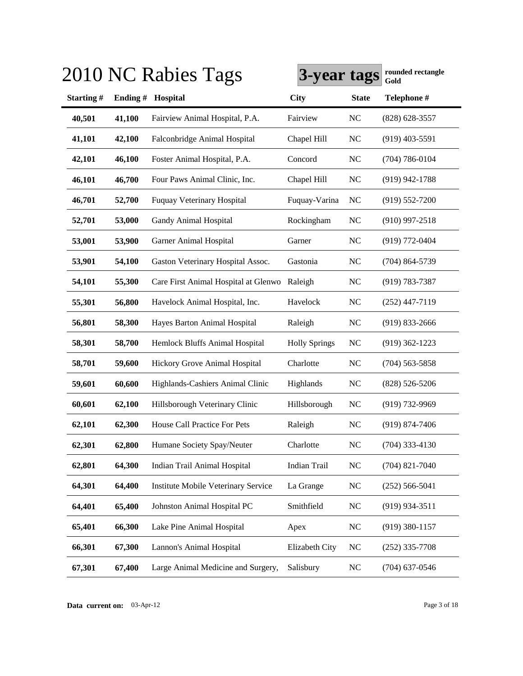|           |         | 2010 NC Rabies Tags                        | 3-year tags          |              | rounded rectangle<br>Gold |
|-----------|---------|--------------------------------------------|----------------------|--------------|---------------------------|
| Starting# | Ending# | Hospital                                   | <b>City</b>          | <b>State</b> | Telephone #               |
| 40,501    | 41,100  | Fairview Animal Hospital, P.A.             | Fairview             | <b>NC</b>    | $(828)$ 628-3557          |
| 41,101    | 42,100  | Falconbridge Animal Hospital               | Chapel Hill          | <b>NC</b>    | $(919)$ 403-5591          |
| 42,101    | 46,100  | Foster Animal Hospital, P.A.               | Concord              | <b>NC</b>    | $(704) 786 - 0104$        |
| 46,101    | 46,700  | Four Paws Animal Clinic, Inc.              | Chapel Hill          | <b>NC</b>    | $(919)$ 942-1788          |
| 46,701    | 52,700  | <b>Fuquay Veterinary Hospital</b>          | Fuquay-Varina        | <b>NC</b>    | $(919) 552 - 7200$        |
| 52,701    | 53,000  | Gandy Animal Hospital                      | Rockingham           | NC           | $(910)$ 997-2518          |
| 53,001    | 53,900  | Garner Animal Hospital                     | Garner               | NC           | $(919) 772 - 0404$        |
| 53,901    | 54,100  | Gaston Veterinary Hospital Assoc.          | Gastonia             | <b>NC</b>    | $(704)$ 864-5739          |
| 54,101    | 55,300  | Care First Animal Hospital at Glenwo       | Raleigh              | <b>NC</b>    | $(919) 783 - 7387$        |
| 55,301    | 56,800  | Havelock Animal Hospital, Inc.             | Havelock             | <b>NC</b>    | $(252)$ 447-7119          |
| 56,801    | 58,300  | Hayes Barton Animal Hospital               | Raleigh              | <b>NC</b>    | $(919)$ 833-2666          |
| 58,301    | 58,700  | Hemlock Bluffs Animal Hospital             | <b>Holly Springs</b> | <b>NC</b>    | $(919)$ 362-1223          |
| 58,701    | 59,600  | Hickory Grove Animal Hospital              | Charlotte            | <b>NC</b>    | $(704)$ 563-5858          |
| 59,601    | 60,600  | Highlands-Cashiers Animal Clinic           | Highlands            | <b>NC</b>    | $(828) 526 - 5206$        |
| 60,601    | 62,100  | Hillsborough Veterinary Clinic             | Hillsborough         | <b>NC</b>    | $(919) 732 - 9969$        |
| 62,101    | 62,300  | House Call Practice For Pets               | Raleigh              | <b>NC</b>    | $(919) 874 - 7406$        |
| 62,301    | 62,800  | Humane Society Spay/Neuter                 | Charlotte            | <b>NC</b>    | $(704)$ 333-4130          |
| 62,801    | 64,300  | Indian Trail Animal Hospital               | <b>Indian Trail</b>  | <b>NC</b>    | $(704)$ 821-7040          |
| 64,301    | 64,400  | <b>Institute Mobile Veterinary Service</b> | La Grange            | <b>NC</b>    | $(252) 566 - 5041$        |
| 64,401    | 65,400  | Johnston Animal Hospital PC                | Smithfield           | $\rm NC$     | $(919)$ 934-3511          |
| 65,401    | 66,300  | Lake Pine Animal Hospital                  | Apex                 | NC           | $(919)$ 380-1157          |
| 66,301    | 67,300  | Lannon's Animal Hospital                   | Elizabeth City       | <b>NC</b>    | $(252)$ 335-7708          |
| 67,301    | 67,400  | Large Animal Medicine and Surgery,         | Salisbury            | $\rm NC$     | $(704)$ 637-0546          |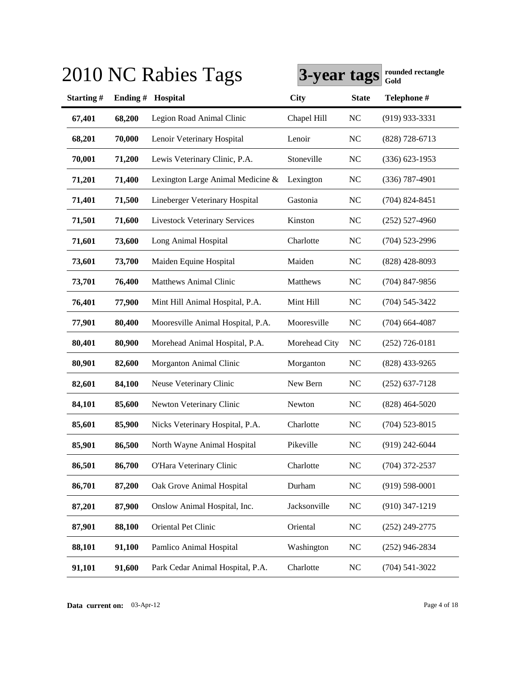|           |         | 2010 NC Rabies Tags                  | 3-year tags   |              | rounded rectangle<br>Gold |
|-----------|---------|--------------------------------------|---------------|--------------|---------------------------|
| Starting# | Ending# | Hospital                             | <b>City</b>   | <b>State</b> | Telephone #               |
| 67,401    | 68,200  | Legion Road Animal Clinic            | Chapel Hill   | <b>NC</b>    | $(919)$ 933-3331          |
| 68,201    | 70,000  | Lenoir Veterinary Hospital           | Lenoir        | <b>NC</b>    | $(828)$ 728-6713          |
| 70,001    | 71,200  | Lewis Veterinary Clinic, P.A.        | Stoneville    | <b>NC</b>    | $(336)$ 623-1953          |
| 71,201    | 71,400  | Lexington Large Animal Medicine &    | Lexington     | <b>NC</b>    | $(336)$ 787-4901          |
| 71,401    | 71,500  | Lineberger Veterinary Hospital       | Gastonia      | <b>NC</b>    | $(704)$ 824-8451          |
| 71,501    | 71,600  | <b>Livestock Veterinary Services</b> | Kinston       | NC           | $(252)$ 527-4960          |
| 71,601    | 73,600  | Long Animal Hospital                 | Charlotte     | <b>NC</b>    | $(704)$ 523-2996          |
| 73,601    | 73,700  | Maiden Equine Hospital               | Maiden        | NC           | $(828)$ 428-8093          |
| 73,701    | 76,400  | <b>Matthews Animal Clinic</b>        | Matthews      | <b>NC</b>    | $(704)$ 847-9856          |
| 76,401    | 77,900  | Mint Hill Animal Hospital, P.A.      | Mint Hill     | <b>NC</b>    | $(704)$ 545-3422          |
| 77,901    | 80,400  | Mooresville Animal Hospital, P.A.    | Mooresville   | <b>NC</b>    | $(704)$ 664-4087          |
| 80,401    | 80,900  | Morehead Animal Hospital, P.A.       | Morehead City | <b>NC</b>    | $(252)$ 726-0181          |
| 80,901    | 82,600  | Morganton Animal Clinic              | Morganton     | <b>NC</b>    | $(828)$ 433-9265          |
| 82,601    | 84,100  | Neuse Veterinary Clinic              | New Bern      | <b>NC</b>    | $(252)$ 637-7128          |
| 84,101    | 85,600  | Newton Veterinary Clinic             | Newton        | <b>NC</b>    | $(828)$ 464-5020          |
| 85,601    | 85,900  | Nicks Veterinary Hospital, P.A.      | Charlotte     | <b>NC</b>    | $(704)$ 523-8015          |
| 85,901    | 86,500  | North Wayne Animal Hospital          | Pikeville     | <b>NC</b>    | $(919)$ 242-6044          |
| 86,501    | 86,700  | O'Hara Veterinary Clinic             | Charlotte     | <b>NC</b>    | $(704)$ 372-2537          |
| 86,701    | 87,200  | Oak Grove Animal Hospital            | Durham        | NC           | $(919) 598 - 0001$        |
| 87,201    | 87,900  | Onslow Animal Hospital, Inc.         | Jacksonville  | $\rm NC$     | $(910)$ 347-1219          |
| 87,901    | 88,100  | Oriental Pet Clinic                  | Oriental      | $\rm NC$     | $(252)$ 249-2775          |
| 88,101    | 91,100  | Pamlico Animal Hospital              | Washington    | <b>NC</b>    | $(252)$ 946-2834          |
| 91,101    | 91,600  | Park Cedar Animal Hospital, P.A.     | Charlotte     | $\rm NC$     | $(704) 541 - 3022$        |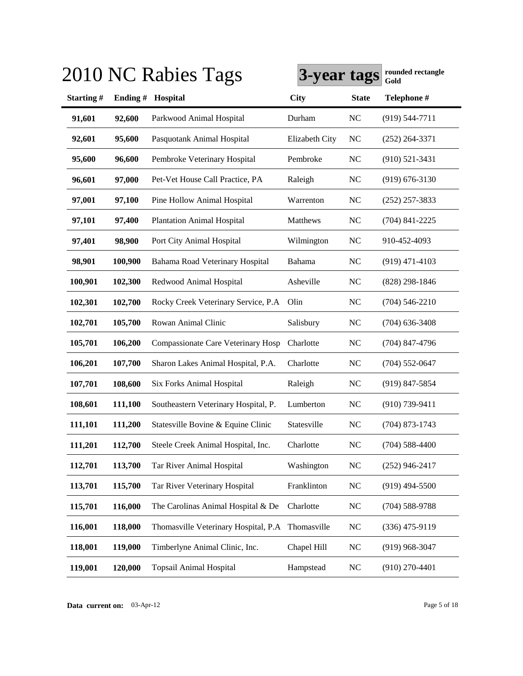|           |         | 2010 NC Rabies Tags                   | 3-year tags    |              | rounded rectangle<br>Gold |
|-----------|---------|---------------------------------------|----------------|--------------|---------------------------|
| Starting# | Ending# | Hospital                              | <b>City</b>    | <b>State</b> | Telephone #               |
| 91,601    | 92,600  | Parkwood Animal Hospital              | Durham         | <b>NC</b>    | $(919) 544 - 7711$        |
| 92,601    | 95,600  | Pasquotank Animal Hospital            | Elizabeth City | <b>NC</b>    | $(252)$ 264-3371          |
| 95,600    | 96,600  | Pembroke Veterinary Hospital          | Pembroke       | NC           | $(910)$ 521-3431          |
| 96,601    | 97,000  | Pet-Vet House Call Practice, PA       | Raleigh        | <b>NC</b>    | $(919) 676 - 3130$        |
| 97,001    | 97,100  | Pine Hollow Animal Hospital           | Warrenton      | <b>NC</b>    | $(252)$ 257-3833          |
| 97,101    | 97,400  | <b>Plantation Animal Hospital</b>     | Matthews       | NC           | $(704)$ 841-2225          |
| 97,401    | 98,900  | Port City Animal Hospital             | Wilmington     | <b>NC</b>    | 910-452-4093              |
| 98,901    | 100,900 | Bahama Road Veterinary Hospital       | <b>Bahama</b>  | NC           | $(919)$ 471-4103          |
| 100,901   | 102,300 | Redwood Animal Hospital               | Asheville      | <b>NC</b>    | $(828)$ 298-1846          |
| 102,301   | 102,700 | Rocky Creek Veterinary Service, P.A   | Olin           | <b>NC</b>    | $(704)$ 546-2210          |
| 102,701   | 105,700 | Rowan Animal Clinic                   | Salisbury      | <b>NC</b>    | $(704)$ 636-3408          |
| 105,701   | 106,200 | Compassionate Care Veterinary Hosp    | Charlotte      | <b>NC</b>    | $(704)$ 847-4796          |
| 106,201   | 107,700 | Sharon Lakes Animal Hospital, P.A.    | Charlotte      | <b>NC</b>    | $(704)$ 552-0647          |
| 107,701   | 108,600 | Six Forks Animal Hospital             | Raleigh        | <b>NC</b>    | $(919)$ 847-5854          |
| 108,601   | 111,100 | Southeastern Veterinary Hospital, P.  | Lumberton      | <b>NC</b>    | $(910)$ 739-9411          |
| 111,101   | 111,200 | Statesville Bovine & Equine Clinic    | Statesville    | <b>NC</b>    | $(704)$ 873-1743          |
| 111,201   | 112,700 | Steele Creek Animal Hospital, Inc.    | Charlotte      | <b>NC</b>    | $(704)$ 588-4400          |
| 112,701   | 113,700 | Tar River Animal Hospital             | Washington     | <b>NC</b>    | $(252)$ 946-2417          |
| 113,701   | 115,700 | Tar River Veterinary Hospital         | Franklinton    | $\rm NC$     | $(919)$ 494-5500          |
| 115,701   | 116,000 | The Carolinas Animal Hospital & De    | Charlotte      | $\rm NC$     | $(704) 588 - 9788$        |
| 116,001   | 118,000 | Thomasville Veterinary Hospital, P.A. | Thomasville    | $\rm NC$     | $(336)$ 475-9119          |
| 118,001   | 119,000 | Timberlyne Animal Clinic, Inc.        | Chapel Hill    | <b>NC</b>    | $(919)$ 968-3047          |
| 119,001   | 120,000 | <b>Topsail Animal Hospital</b>        | Hampstead      | <b>NC</b>    | $(910)$ 270-4401          |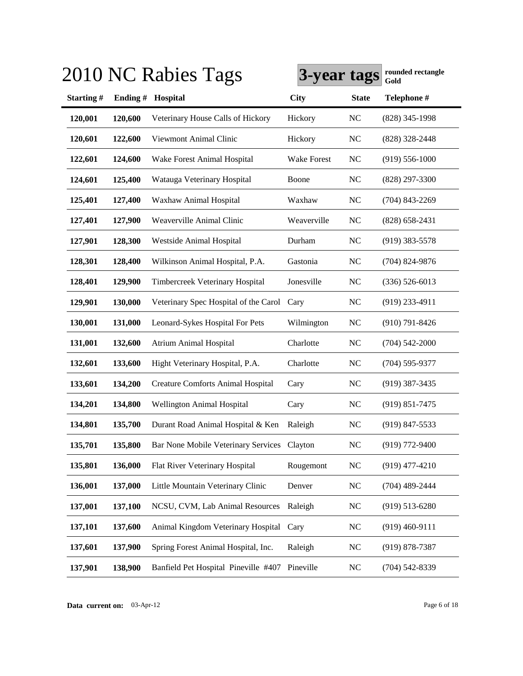|           |         | 2010 NC Rabies Tags                      | 3-year tags        |              | rounded rectangle<br>Gold |
|-----------|---------|------------------------------------------|--------------------|--------------|---------------------------|
| Starting# | Ending# | Hospital                                 | <b>City</b>        | <b>State</b> | Telephone #               |
| 120,001   | 120,600 | Veterinary House Calls of Hickory        | Hickory            | <b>NC</b>    | (828) 345-1998            |
| 120,601   | 122,600 | Viewmont Animal Clinic                   | Hickory            | <b>NC</b>    | (828) 328-2448            |
| 122,601   | 124,600 | Wake Forest Animal Hospital              | <b>Wake Forest</b> | <b>NC</b>    | $(919) 556 - 1000$        |
| 124,601   | 125,400 | Watauga Veterinary Hospital              | Boone              | <b>NC</b>    | $(828)$ 297-3300          |
| 125,401   | 127,400 | Waxhaw Animal Hospital                   | Waxhaw             | <b>NC</b>    | $(704)$ 843-2269          |
| 127,401   | 127,900 | Weaverville Animal Clinic                | Weaverville        | <b>NC</b>    | $(828)$ 658-2431          |
| 127,901   | 128,300 | Westside Animal Hospital                 | Durham             | <b>NC</b>    | $(919)$ 383-5578          |
| 128,301   | 128,400 | Wilkinson Animal Hospital, P.A.          | Gastonia           | NC           | $(704)$ 824-9876          |
| 128,401   | 129,900 | Timbercreek Veterinary Hospital          | Jonesville         | <b>NC</b>    | $(336) 526 - 6013$        |
| 129,901   | 130,000 | Veterinary Spec Hospital of the Carol    | Cary               | <b>NC</b>    | $(919)$ 233-4911          |
| 130,001   | 131,000 | Leonard-Sykes Hospital For Pets          | Wilmington         | <b>NC</b>    | $(910) 791 - 8426$        |
| 131,001   | 132,600 | <b>Atrium Animal Hospital</b>            | Charlotte          | <b>NC</b>    | $(704) 542 - 2000$        |
| 132,601   | 133,600 | Hight Veterinary Hospital, P.A.          | Charlotte          | <b>NC</b>    | $(704)$ 595-9377          |
| 133,601   | 134,200 | <b>Creature Comforts Animal Hospital</b> | Cary               | <b>NC</b>    | $(919)$ 387-3435          |
| 134,201   | 134,800 | <b>Wellington Animal Hospital</b>        | Cary               | <b>NC</b>    | $(919) 851 - 7475$        |
| 134,801   | 135,700 | Durant Road Animal Hospital & Ken        | Raleigh            | <b>NC</b>    | $(919)$ 847-5533          |
| 135,701   | 135,800 | Bar None Mobile Veterinary Services      | Clayton            | <b>NC</b>    | (919) 772-9400            |
| 135,801   | 136,000 | Flat River Veterinary Hospital           | Rougemont          | <b>NC</b>    | $(919)$ 477-4210          |
| 136,001   | 137,000 | Little Mountain Veterinary Clinic        | Denver             | <b>NC</b>    | $(704)$ 489-2444          |
| 137,001   | 137,100 | NCSU, CVM, Lab Animal Resources          | Raleigh            | <b>NC</b>    | $(919) 513 - 6280$        |
| 137,101   | 137,600 | Animal Kingdom Veterinary Hospital       | Cary               | <b>NC</b>    | $(919)$ 460-9111          |
| 137,601   | 137,900 | Spring Forest Animal Hospital, Inc.      | Raleigh            | <b>NC</b>    | $(919) 878 - 7387$        |
| 137,901   | 138,900 | Banfield Pet Hospital Pineville #407     | Pineville          | <b>NC</b>    | $(704) 542 - 8339$        |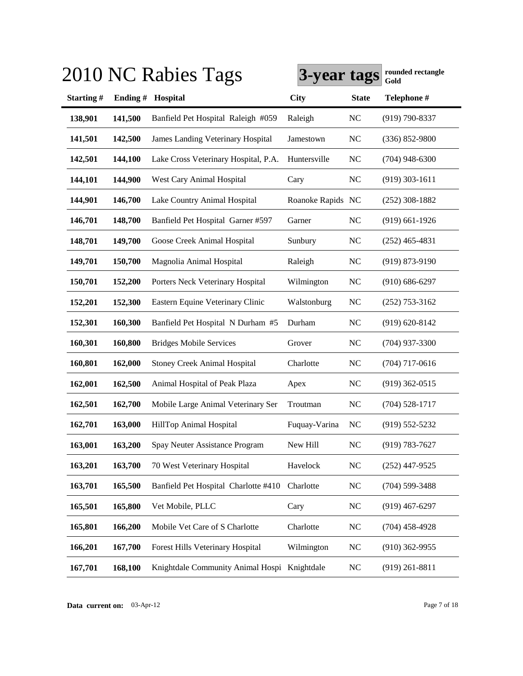|           |         | 2010 NC Rabies Tags                          | 3-year tags       |              | rounded rectangle<br>Gold |
|-----------|---------|----------------------------------------------|-------------------|--------------|---------------------------|
| Starting# | Ending# | Hospital                                     | <b>City</b>       | <b>State</b> | Telephone #               |
| 138,901   | 141,500 | Banfield Pet Hospital Raleigh #059           | Raleigh           | <b>NC</b>    | (919) 790-8337            |
| 141,501   | 142,500 | James Landing Veterinary Hospital            | Jamestown         | <b>NC</b>    | $(336) 852 - 9800$        |
| 142,501   | 144,100 | Lake Cross Veterinary Hospital, P.A.         | Huntersville      | <b>NC</b>    | $(704)$ 948-6300          |
| 144,101   | 144,900 | West Cary Animal Hospital                    | Cary              | <b>NC</b>    | $(919)$ 303-1611          |
| 144,901   | 146,700 | Lake Country Animal Hospital                 | Roanoke Rapids NC |              | $(252)$ 308-1882          |
| 146,701   | 148,700 | Banfield Pet Hospital Garner #597            | Garner            | <b>NC</b>    | $(919)$ 661-1926          |
| 148,701   | 149,700 | Goose Creek Animal Hospital                  | Sunbury           | <b>NC</b>    | $(252)$ 465-4831          |
| 149,701   | 150,700 | Magnolia Animal Hospital                     | Raleigh           | <b>NC</b>    | $(919) 873 - 9190$        |
| 150,701   | 152,200 | Porters Neck Veterinary Hospital             | Wilmington        | <b>NC</b>    | $(910) 686 - 6297$        |
| 152,201   | 152,300 | Eastern Equine Veterinary Clinic             | Walstonburg       | <b>NC</b>    | $(252)$ 753-3162          |
| 152,301   | 160,300 | Banfield Pet Hospital N Durham #5            | Durham            | <b>NC</b>    | $(919) 620 - 8142$        |
| 160,301   | 160,800 | <b>Bridges Mobile Services</b>               | Grover            | <b>NC</b>    | $(704)$ 937-3300          |
| 160,801   | 162,000 | <b>Stoney Creek Animal Hospital</b>          | Charlotte         | <b>NC</b>    | $(704)$ 717-0616          |
| 162,001   | 162,500 | Animal Hospital of Peak Plaza                | Apex              | <b>NC</b>    | $(919)$ 362-0515          |
| 162,501   | 162,700 | Mobile Large Animal Veterinary Ser           | Troutman          | <b>NC</b>    | $(704) 528 - 1717$        |
| 162,701   | 163,000 | HillTop Animal Hospital                      | Fuquay-Varina     | <b>NC</b>    | $(919) 552 - 5232$        |
| 163,001   | 163,200 | Spay Neuter Assistance Program               | New Hill          | <b>NC</b>    | $(919) 783 - 7627$        |
| 163,201   | 163,700 | 70 West Veterinary Hospital                  | Havelock          | <b>NC</b>    | $(252)$ 447-9525          |
| 163,701   | 165,500 | Banfield Pet Hospital Charlotte #410         | Charlotte         | <b>NC</b>    | $(704)$ 599-3488          |
| 165,501   | 165,800 | Vet Mobile, PLLC                             | Cary              | <b>NC</b>    | $(919)$ 467-6297          |
| 165,801   | 166,200 | Mobile Vet Care of S Charlotte               | Charlotte         | <b>NC</b>    | $(704)$ 458-4928          |
| 166,201   | 167,700 | Forest Hills Veterinary Hospital             | Wilmington        | <b>NC</b>    | $(910)$ 362-9955          |
| 167,701   | 168,100 | Knightdale Community Animal Hospi Knightdale |                   | <b>NC</b>    | $(919)$ 261-8811          |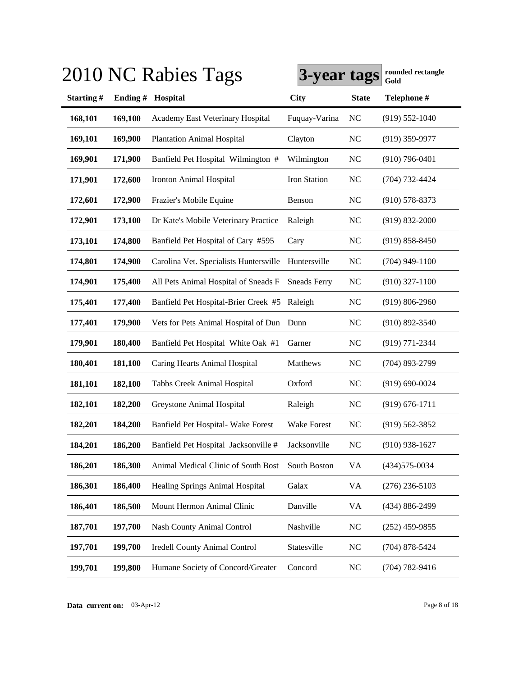|           |         | 2010 NC Rabies Tags                    | 3-year tags         |              | rounded rectangle<br>Gold |
|-----------|---------|----------------------------------------|---------------------|--------------|---------------------------|
| Starting# | Ending# | Hospital                               | <b>City</b>         | <b>State</b> | Telephone #               |
| 168,101   | 169,100 | Academy East Veterinary Hospital       | Fuquay-Varina       | <b>NC</b>    | $(919) 552 - 1040$        |
| 169,101   | 169,900 | <b>Plantation Animal Hospital</b>      | Clayton             | <b>NC</b>    | $(919)$ 359-9977          |
| 169,901   | 171,900 | Banfield Pet Hospital Wilmington #     | Wilmington          | <b>NC</b>    | $(910)$ 796-0401          |
| 171,901   | 172,600 | <b>Ironton Animal Hospital</b>         | Iron Station        | <b>NC</b>    | $(704) 732 - 4424$        |
| 172,601   | 172,900 | Frazier's Mobile Equine                | Benson              | <b>NC</b>    | $(910)$ 578-8373          |
| 172,901   | 173,100 | Dr Kate's Mobile Veterinary Practice   | Raleigh             | <b>NC</b>    | $(919) 832 - 2000$        |
| 173,101   | 174,800 | Banfield Pet Hospital of Cary #595     | Cary                | <b>NC</b>    | $(919) 858 - 8450$        |
| 174,801   | 174,900 | Carolina Vet. Specialists Huntersville | Huntersville        | <b>NC</b>    | $(704)$ 949-1100          |
| 174,901   | 175,400 | All Pets Animal Hospital of Sneads F   | <b>Sneads Ferry</b> | <b>NC</b>    | $(910)$ 327-1100          |
| 175,401   | 177,400 | Banfield Pet Hospital-Brier Creek #5   | Raleigh             | <b>NC</b>    | $(919) 806 - 2960$        |
| 177,401   | 179,900 | Vets for Pets Animal Hospital of Dun   | Dunn                | <b>NC</b>    | $(910) 892 - 3540$        |
| 179,901   | 180,400 | Banfield Pet Hospital White Oak #1     | Garner              | <b>NC</b>    | $(919) 771 - 2344$        |
| 180,401   | 181,100 | Caring Hearts Animal Hospital          | Matthews            | <b>NC</b>    | $(704)$ 893-2799          |
| 181,101   | 182,100 | Tabbs Creek Animal Hospital            | Oxford              | <b>NC</b>    | $(919) 690 - 0024$        |
| 182,101   | 182,200 | Greystone Animal Hospital              | Raleigh             | <b>NC</b>    | $(919) 676 - 1711$        |
| 182,201   | 184,200 | Banfield Pet Hospital- Wake Forest     | Wake Forest         | <b>NC</b>    | $(919) 562 - 3852$        |
| 184,201   | 186,200 | Banfield Pet Hospital Jacksonville #   | Jacksonville        | <b>NC</b>    | $(910)$ 938-1627          |
| 186,201   | 186,300 | Animal Medical Clinic of South Bost    | South Boston        | VA           | $(434)575 - 0034$         |
| 186,301   | 186,400 | Healing Springs Animal Hospital        | Galax               | VA           | $(276)$ 236-5103          |
| 186,401   | 186,500 | Mount Hermon Animal Clinic             | Danville            | VA           | (434) 886-2499            |
| 187,701   | 197,700 | <b>Nash County Animal Control</b>      | Nashville           | <b>NC</b>    | $(252)$ 459-9855          |
| 197,701   | 199,700 | <b>Iredell County Animal Control</b>   | Statesville         | <b>NC</b>    | $(704)$ 878-5424          |
| 199,701   | 199,800 | Humane Society of Concord/Greater      | Concord             | <b>NC</b>    | $(704) 782 - 9416$        |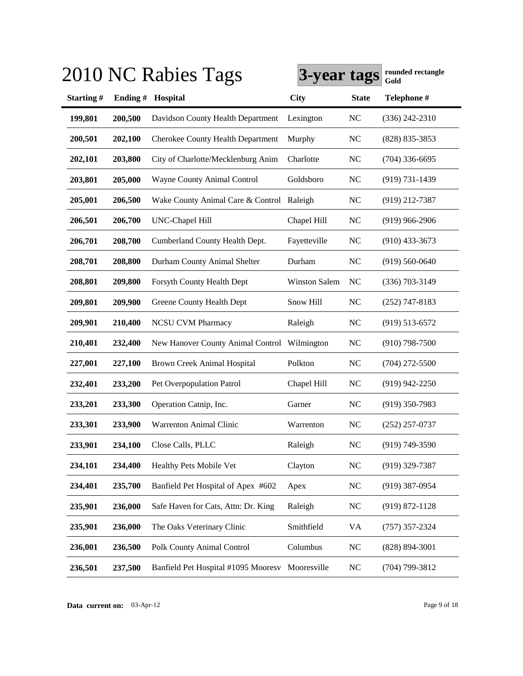|           |         | 2010 NC Rabies Tags                             | 3-year tags          |              | rounded rectangle<br>Gold |
|-----------|---------|-------------------------------------------------|----------------------|--------------|---------------------------|
| Starting# | Ending# | Hospital                                        | <b>City</b>          | <b>State</b> | Telephone #               |
| 199,801   | 200,500 | Davidson County Health Department               | Lexington            | <b>NC</b>    | $(336)$ 242-2310          |
| 200,501   | 202,100 | <b>Cherokee County Health Department</b>        | Murphy               | NC           | (828) 835-3853            |
| 202,101   | 203,800 | City of Charlotte/Mecklenburg Anim              | Charlotte            | <b>NC</b>    | $(704)$ 336-6695          |
| 203,801   | 205,000 | Wayne County Animal Control                     | Goldsboro            | <b>NC</b>    | $(919) 731 - 1439$        |
| 205,001   | 206,500 | Wake County Animal Care & Control               | Raleigh              | <b>NC</b>    | (919) 212-7387            |
| 206,501   | 206,700 | <b>UNC-Chapel Hill</b>                          | Chapel Hill          | <b>NC</b>    | $(919)$ 966-2906          |
| 206,701   | 208,700 | Cumberland County Health Dept.                  | Fayetteville         | <b>NC</b>    | $(910)$ 433-3673          |
| 208,701   | 208,800 | Durham County Animal Shelter                    | Durham               | NC           | $(919) 560 - 0640$        |
| 208,801   | 209,800 | Forsyth County Health Dept                      | <b>Winston Salem</b> | NC           | $(336)$ 703-3149          |
| 209,801   | 209,900 | Greene County Health Dept                       | Snow Hill            | <b>NC</b>    | $(252)$ 747-8183          |
| 209,901   | 210,400 | <b>NCSU CVM Pharmacy</b>                        | Raleigh              | <b>NC</b>    | $(919) 513 - 6572$        |
| 210,401   | 232,400 | New Hanover County Animal Control Wilmington    |                      | <b>NC</b>    | $(910)$ 798-7500          |
| 227,001   | 227,100 | <b>Brown Creek Animal Hospital</b>              | Polkton              | NC           | $(704)$ 272-5500          |
| 232,401   | 233,200 | Pet Overpopulation Patrol                       | Chapel Hill          | <b>NC</b>    | $(919)$ 942-2250          |
| 233,201   | 233,300 | Operation Catnip, Inc.                          | Garner               | <b>NC</b>    | $(919)$ 350-7983          |
| 233,301   | 233,900 | Warrenton Animal Clinic                         | Warrenton            | <b>NC</b>    | $(252)$ 257-0737          |
| 233,901   | 234,100 | Close Calls, PLLC                               | Raleigh              | <b>NC</b>    | (919) 749-3590            |
| 234,101   | 234,400 | Healthy Pets Mobile Vet                         | Clayton              | <b>NC</b>    | (919) 329-7387            |
| 234,401   | 235,700 | Banfield Pet Hospital of Apex #602              | Apex                 | <b>NC</b>    | $(919)$ 387-0954          |
| 235,901   | 236,000 | Safe Haven for Cats, Attn: Dr. King             | Raleigh              | <b>NC</b>    | $(919) 872 - 1128$        |
| 235,901   | 236,000 | The Oaks Veterinary Clinic                      | Smithfield           | <b>VA</b>    | $(757)$ 357-2324          |
| 236,001   | 236,500 | Polk County Animal Control                      | Columbus             | <b>NC</b>    | $(828) 894 - 3001$        |
| 236,501   | 237,500 | Banfield Pet Hospital #1095 Mooresv Mooresville |                      | <b>NC</b>    | (704) 799-3812            |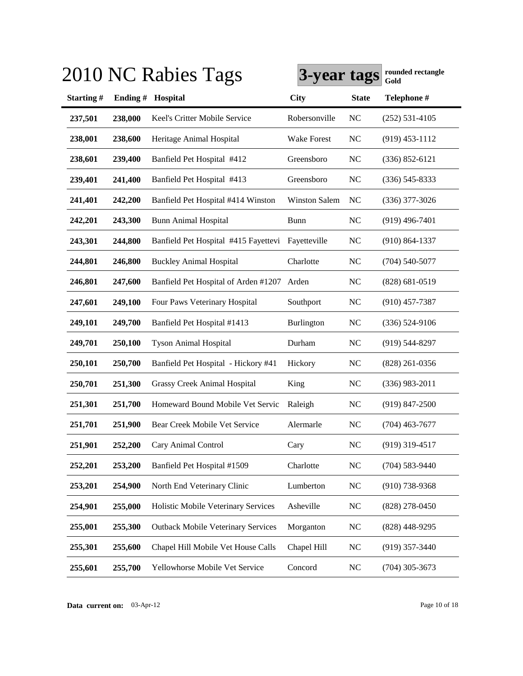|           |         | 2010 NC Rabies Tags                       | 3-year tags          |              | rounded rectangle<br>Gold |
|-----------|---------|-------------------------------------------|----------------------|--------------|---------------------------|
| Starting# | Ending# | Hospital                                  | <b>City</b>          | <b>State</b> | Telephone #               |
| 237,501   | 238,000 | Keel's Critter Mobile Service             | Robersonville        | <b>NC</b>    | $(252) 531 - 4105$        |
| 238,001   | 238,600 | Heritage Animal Hospital                  | <b>Wake Forest</b>   | <b>NC</b>    | $(919)$ 453-1112          |
| 238,601   | 239,400 | Banfield Pet Hospital #412                | Greensboro           | <b>NC</b>    | $(336) 852 - 6121$        |
| 239,401   | 241,400 | Banfield Pet Hospital #413                | Greensboro           | <b>NC</b>    | $(336)$ 545-8333          |
| 241,401   | 242,200 | Banfield Pet Hospital #414 Winston        | <b>Winston Salem</b> | <b>NC</b>    | $(336)$ 377-3026          |
| 242,201   | 243,300 | <b>Bunn Animal Hospital</b>               | <b>Bunn</b>          | <b>NC</b>    | $(919)$ 496-7401          |
| 243,301   | 244,800 | Banfield Pet Hospital #415 Fayettevi      | Fayetteville         | <b>NC</b>    | $(910) 864 - 1337$        |
| 244,801   | 246,800 | <b>Buckley Animal Hospital</b>            | Charlotte            | <b>NC</b>    | $(704)$ 540-5077          |
| 246,801   | 247,600 | Banfield Pet Hospital of Arden #1207      | Arden                | <b>NC</b>    | $(828) 681 - 0519$        |
| 247,601   | 249,100 | Four Paws Veterinary Hospital             | Southport            | <b>NC</b>    | $(910)$ 457-7387          |
| 249,101   | 249,700 | Banfield Pet Hospital #1413               | Burlington           | <b>NC</b>    | $(336) 524-9106$          |
| 249,701   | 250,100 | <b>Tyson Animal Hospital</b>              | Durham               | <b>NC</b>    | $(919)$ 544-8297          |
| 250,101   | 250,700 | Banfield Pet Hospital - Hickory #41       | Hickory              | <b>NC</b>    | $(828)$ 261-0356          |
| 250,701   | 251,300 | Grassy Creek Animal Hospital              | King                 | <b>NC</b>    | $(336)$ 983-2011          |
| 251,301   | 251,700 | Homeward Bound Mobile Vet Servic          | Raleigh              | <b>NC</b>    | $(919)$ 847-2500          |
| 251,701   | 251,900 | Bear Creek Mobile Vet Service             | Alermarle            | <b>NC</b>    | $(704)$ 463-7677          |
| 251,901   | 252,200 | Cary Animal Control                       | Cary                 | <b>NC</b>    | (919) 319-4517            |
| 252,201   | 253,200 | Banfield Pet Hospital #1509               | Charlotte            | <b>NC</b>    | $(704) 583 - 9440$        |
| 253,201   | 254,900 | North End Veterinary Clinic               | Lumberton            | <b>NC</b>    | $(910)$ 738-9368          |
| 254,901   | 255,000 | Holistic Mobile Veterinary Services       | Asheville            | <b>NC</b>    | $(828)$ 278-0450          |
| 255,001   | 255,300 | <b>Outback Mobile Veterinary Services</b> | Morganton            | <b>NC</b>    | (828) 448-9295            |
| 255,301   | 255,600 | Chapel Hill Mobile Vet House Calls        | Chapel Hill          | <b>NC</b>    | $(919)$ 357-3440          |
| 255,601   | 255,700 | Yellowhorse Mobile Vet Service            | Concord              | <b>NC</b>    | $(704)$ 305-3673          |

# **Data current on:** 03-Apr-12 Page 10 of 18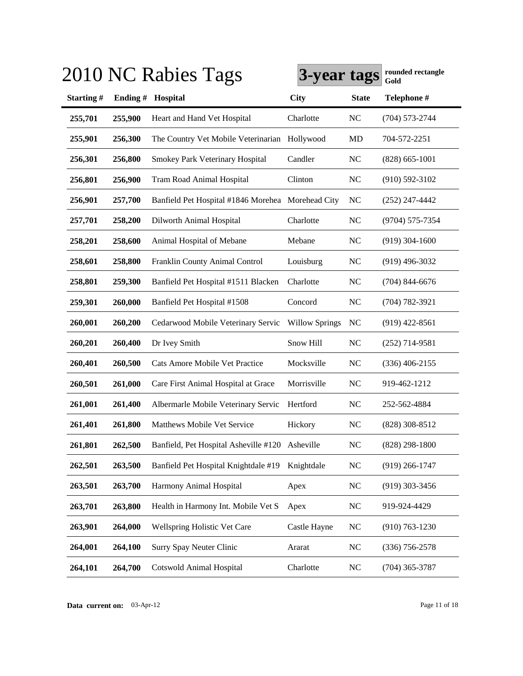|           |         | 2010 NC Rabies Tags                   | 3-year tags           |                | rounded rectangle<br>Gold |
|-----------|---------|---------------------------------------|-----------------------|----------------|---------------------------|
| Starting# | Ending# | Hospital                              | <b>City</b>           | <b>State</b>   | Telephone #               |
| 255,701   | 255,900 | Heart and Hand Vet Hospital           | Charlotte             | <b>NC</b>      | $(704) 573 - 2744$        |
| 255,901   | 256,300 | The Country Vet Mobile Veterinarian   | Hollywood             | MD             | 704-572-2251              |
| 256,301   | 256,800 | Smokey Park Veterinary Hospital       | Candler               | <b>NC</b>      | $(828)$ 665-1001          |
| 256,801   | 256,900 | <b>Tram Road Animal Hospital</b>      | Clinton               | <b>NC</b>      | $(910) 592 - 3102$        |
| 256,901   | 257,700 | Banfield Pet Hospital #1846 Morehea   | Morehead City         | <b>NC</b>      | $(252)$ 247-4442          |
| 257,701   | 258,200 | Dilworth Animal Hospital              | Charlotte             | <b>NC</b>      | (9704) 575-7354           |
| 258,201   | 258,600 | Animal Hospital of Mebane             | Mebane                | N <sub>C</sub> | $(919)$ 304-1600          |
| 258,601   | 258,800 | Franklin County Animal Control        | Louisburg             | <b>NC</b>      | $(919)$ 496-3032          |
| 258,801   | 259,300 | Banfield Pet Hospital #1511 Blacken   | Charlotte             | <b>NC</b>      | $(704)$ 844-6676          |
| 259,301   | 260,000 | Banfield Pet Hospital #1508           | Concord               | <b>NC</b>      | $(704) 782 - 3921$        |
| 260,001   | 260,200 | Cedarwood Mobile Veterinary Servic    | <b>Willow Springs</b> | <b>NC</b>      | $(919)$ 422-8561          |
| 260,201   | 260,400 | Dr Ivey Smith                         | Snow Hill             | <b>NC</b>      | $(252)$ 714-9581          |
| 260,401   | 260,500 | Cats Amore Mobile Vet Practice        | Mocksville            | NC             | $(336)$ 406-2155          |
| 260,501   | 261,000 | Care First Animal Hospital at Grace   | Morrisville           | <b>NC</b>      | 919-462-1212              |
| 261,001   | 261,400 | Albermarle Mobile Veterinary Servic   | Hertford              | <b>NC</b>      | 252-562-4884              |
| 261,401   | 261,800 | Matthews Mobile Vet Service           | Hickory               | <b>NC</b>      | (828) 308-8512            |
| 261,801   | 262,500 | Banfield, Pet Hospital Asheville #120 | Asheville             | <b>NC</b>      | $(828)$ 298-1800          |
| 262,501   | 263,500 | Banfield Pet Hospital Knightdale #19  | Knightdale            | <b>NC</b>      | $(919)$ 266-1747          |
| 263,501   | 263,700 | Harmony Animal Hospital               | Apex                  | <b>NC</b>      | $(919)$ 303-3456          |
| 263,701   | 263,800 | Health in Harmony Int. Mobile Vet S   | Apex                  | <b>NC</b>      | 919-924-4429              |
| 263,901   | 264,000 | Wellspring Holistic Vet Care          | Castle Hayne          | <b>NC</b>      | $(910) 763 - 1230$        |
| 264,001   | 264,100 | Surry Spay Neuter Clinic              | Ararat                | <b>NC</b>      | $(336)$ 756-2578          |
| 264,101   | 264,700 | <b>Cotswold Animal Hospital</b>       | Charlotte             | <b>NC</b>      | $(704)$ 365-3787          |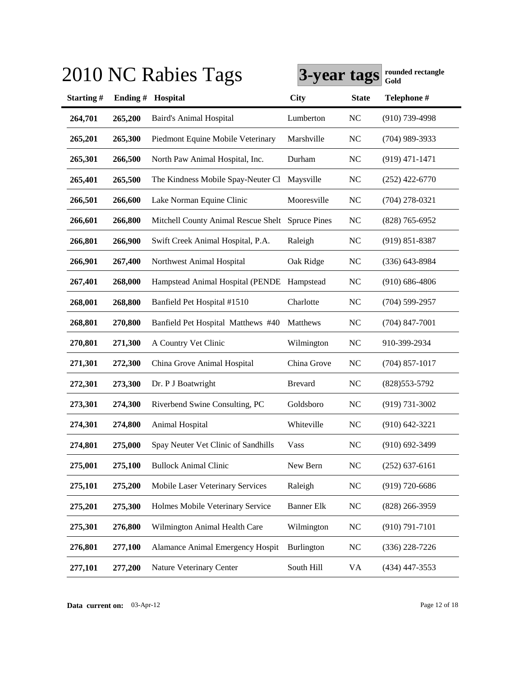|           |         | 2010 NC Rabies Tags                 | 3-year tags         |              | rounded rectangle<br>Gold |
|-----------|---------|-------------------------------------|---------------------|--------------|---------------------------|
| Starting# | Ending# | Hospital                            | <b>City</b>         | <b>State</b> | Telephone #               |
| 264,701   | 265,200 | <b>Baird's Animal Hospital</b>      | Lumberton           | <b>NC</b>    | $(910)$ 739-4998          |
| 265,201   | 265,300 | Piedmont Equine Mobile Veterinary   | Marshville          | <b>NC</b>    | $(704)$ 989-3933          |
| 265,301   | 266,500 | North Paw Animal Hospital, Inc.     | Durham              | NC           | $(919)$ 471-1471          |
| 265,401   | 265,500 | The Kindness Mobile Spay-Neuter Cl  | Maysville           | <b>NC</b>    | $(252)$ 422-6770          |
| 266,501   | 266,600 | Lake Norman Equine Clinic           | Mooresville         | <b>NC</b>    | $(704)$ 278-0321          |
| 266,601   | 266,800 | Mitchell County Animal Rescue Shelt | <b>Spruce Pines</b> | <b>NC</b>    | $(828)$ 765-6952          |
| 266,801   | 266,900 | Swift Creek Animal Hospital, P.A.   | Raleigh             | <b>NC</b>    | $(919) 851 - 8387$        |
| 266,901   | 267,400 | Northwest Animal Hospital           | Oak Ridge           | <b>NC</b>    | $(336)$ 643-8984          |
| 267,401   | 268,000 | Hampstead Animal Hospital (PENDE    | Hampstead           | <b>NC</b>    | $(910) 686 - 4806$        |
| 268,001   | 268,800 | Banfield Pet Hospital #1510         | Charlotte           | <b>NC</b>    | $(704)$ 599-2957          |
| 268,801   | 270,800 | Banfield Pet Hospital Matthews #40  | Matthews            | <b>NC</b>    | $(704)$ 847-7001          |
| 270,801   | 271,300 | A Country Vet Clinic                | Wilmington          | NC           | 910-399-2934              |
| 271,301   | 272,300 | China Grove Animal Hospital         | China Grove         | NC           | $(704)$ 857-1017          |
| 272,301   | 273,300 | Dr. P J Boatwright                  | <b>Brevard</b>      | <b>NC</b>    | $(828)553-5792$           |
| 273,301   | 274,300 | Riverbend Swine Consulting, PC      | Goldsboro           | <b>NC</b>    | $(919) 731 - 3002$        |
| 274,301   | 274,800 | Animal Hospital                     | Whiteville          | <b>NC</b>    | $(910) 642 - 3221$        |
| 274,801   | 275,000 | Spay Neuter Vet Clinic of Sandhills | <b>Vass</b>         | <b>NC</b>    | $(910) 692 - 3499$        |
| 275,001   | 275,100 | <b>Bullock Animal Clinic</b>        | New Bern            | <b>NC</b>    | $(252)$ 637-6161          |
| 275,101   | 275,200 | Mobile Laser Veterinary Services    | Raleigh             | <b>NC</b>    | (919) 720-6686            |
| 275,201   | 275,300 | Holmes Mobile Veterinary Service    | <b>Banner Elk</b>   | <b>NC</b>    | $(828)$ 266-3959          |
| 275,301   | 276,800 | Wilmington Animal Health Care       | Wilmington          | <b>NC</b>    | $(910) 791 - 7101$        |
| 276,801   | 277,100 | Alamance Animal Emergency Hospit    | Burlington          | <b>NC</b>    | $(336)$ 228-7226          |
| 277,101   | 277,200 | Nature Veterinary Center            | South Hill          | VA           | (434) 447-3553            |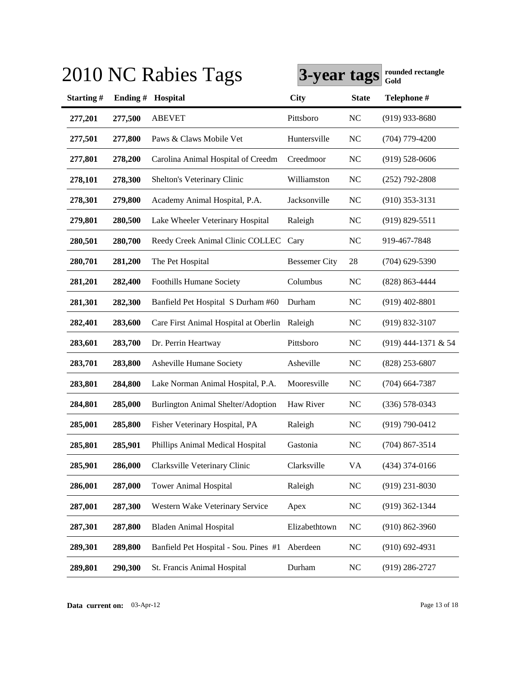|           |         | 2010 NC Rabies Tags                   | 3-year tags          |              | rounded rectangle<br>Gold |
|-----------|---------|---------------------------------------|----------------------|--------------|---------------------------|
| Starting# | Ending# | Hospital                              | <b>City</b>          | <b>State</b> | Telephone #               |
| 277,201   | 277,500 | <b>ABEVET</b>                         | Pittsboro            | <b>NC</b>    | $(919)$ 933-8680          |
| 277,501   | 277,800 | Paws & Claws Mobile Vet               | Huntersville         | <b>NC</b>    | $(704)$ 779-4200          |
| 277,801   | 278,200 | Carolina Animal Hospital of Creedm    | Creedmoor            | <b>NC</b>    | $(919) 528 - 0606$        |
| 278,101   | 278,300 | Shelton's Veterinary Clinic           | Williamston          | <b>NC</b>    | $(252)$ 792-2808          |
| 278,301   | 279,800 | Academy Animal Hospital, P.A.         | Jacksonville         | <b>NC</b>    | $(910)$ 353-3131          |
| 279,801   | 280,500 | Lake Wheeler Veterinary Hospital      | Raleigh              | <b>NC</b>    | $(919) 829 - 5511$        |
| 280,501   | 280,700 | Reedy Creek Animal Clinic COLLEC      | Cary                 | <b>NC</b>    | 919-467-7848              |
| 280,701   | 281,200 | The Pet Hospital                      | <b>Bessemer City</b> | 28           | $(704)$ 629-5390          |
| 281,201   | 282,400 | <b>Foothills Humane Society</b>       | Columbus             | <b>NC</b>    | (828) 863-4444            |
| 281,301   | 282,300 | Banfield Pet Hospital S Durham #60    | Durham               | <b>NC</b>    | $(919)$ 402-8801          |
| 282,401   | 283,600 | Care First Animal Hospital at Oberlin | Raleigh              | <b>NC</b>    | $(919) 832 - 3107$        |
| 283,601   | 283,700 | Dr. Perrin Heartway                   | Pittsboro            | NC           | (919) 444-1371 & 54       |
| 283,701   | 283,800 | Asheville Humane Society              | Asheville            | <b>NC</b>    | (828) 253-6807            |
| 283,801   | 284,800 | Lake Norman Animal Hospital, P.A.     | Mooresville          | <b>NC</b>    | $(704)$ 664-7387          |
| 284,801   | 285,000 | Burlington Animal Shelter/Adoption    | Haw River            | <b>NC</b>    | $(336)$ 578-0343          |
| 285,001   | 285,800 | Fisher Veterinary Hospital, PA        | Raleigh              | <b>NC</b>    | $(919) 790 - 0412$        |
| 285,801   | 285,901 | Phillips Animal Medical Hospital      | Gastonia             | <b>NC</b>    | $(704)$ 867-3514          |
| 285,901   | 286,000 | Clarksville Veterinary Clinic         | Clarksville          | VA           | $(434)$ 374-0166          |
| 286,001   | 287,000 | <b>Tower Animal Hospital</b>          | Raleigh              | <b>NC</b>    | $(919)$ 231-8030          |
| 287,001   | 287,300 | Western Wake Veterinary Service       | Apex                 | <b>NC</b>    | $(919)$ 362-1344          |
| 287,301   | 287,800 | <b>Bladen Animal Hospital</b>         | Elizabethtown        | <b>NC</b>    | $(910) 862 - 3960$        |
| 289,301   | 289,800 | Banfield Pet Hospital - Sou. Pines #1 | Aberdeen             | <b>NC</b>    | $(910) 692 - 4931$        |
| 289,801   | 290,300 | St. Francis Animal Hospital           | Durham               | <b>NC</b>    | $(919)$ 286-2727          |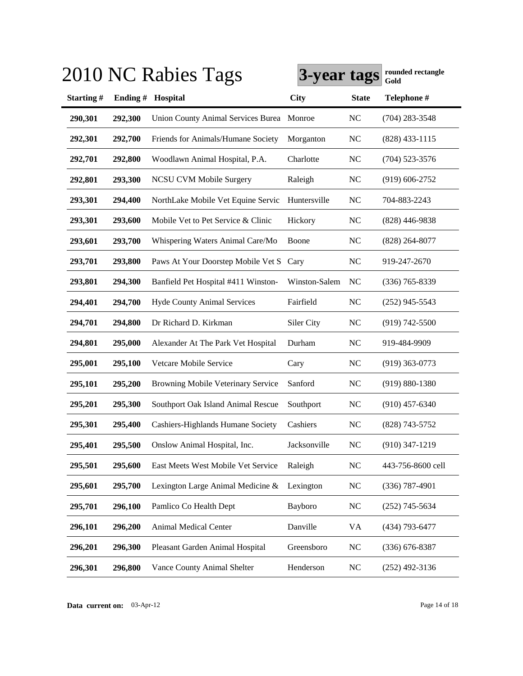|           |         | 2010 NC Rabies Tags                       | 3-year tags   |              | rounded rectangle<br>Gold |
|-----------|---------|-------------------------------------------|---------------|--------------|---------------------------|
| Starting# | Ending# | Hospital                                  | <b>City</b>   | <b>State</b> | Telephone #               |
| 290,301   | 292,300 | <b>Union County Animal Services Burea</b> | Monroe        | <b>NC</b>    | $(704)$ 283-3548          |
| 292,301   | 292,700 | Friends for Animals/Humane Society        | Morganton     | NC           | $(828)$ 433-1115          |
| 292,701   | 292,800 | Woodlawn Animal Hospital, P.A.            | Charlotte     | <b>NC</b>    | $(704)$ 523-3576          |
| 292,801   | 293,300 | <b>NCSU CVM Mobile Surgery</b>            | Raleigh       | <b>NC</b>    | $(919) 606 - 2752$        |
| 293,301   | 294,400 | NorthLake Mobile Vet Equine Servic        | Huntersville  | <b>NC</b>    | 704-883-2243              |
| 293,301   | 293,600 | Mobile Vet to Pet Service & Clinic        | Hickory       | <b>NC</b>    | $(828)$ 446-9838          |
| 293,601   | 293,700 | Whispering Waters Animal Care/Mo          | Boone         | <b>NC</b>    | $(828)$ 264-8077          |
| 293,701   | 293,800 | Paws At Your Doorstep Mobile Vet S        | Cary          | <b>NC</b>    | 919-247-2670              |
| 293,801   | 294,300 | Banfield Pet Hospital #411 Winston-       | Winston-Salem | NC           | $(336)$ 765-8339          |
| 294,401   | 294,700 | <b>Hyde County Animal Services</b>        | Fairfield     | <b>NC</b>    | $(252)$ 945-5543          |
| 294,701   | 294,800 | Dr Richard D. Kirkman                     | Siler City    | <b>NC</b>    | $(919) 742 - 5500$        |
| 294,801   | 295,000 | Alexander At The Park Vet Hospital        | Durham        | <b>NC</b>    | 919-484-9909              |
| 295,001   | 295,100 | Vetcare Mobile Service                    | Cary          | <b>NC</b>    | $(919)$ 363-0773          |
| 295,101   | 295,200 | Browning Mobile Veterinary Service        | Sanford       | <b>NC</b>    | $(919) 880 - 1380$        |
| 295,201   | 295,300 | Southport Oak Island Animal Rescue        | Southport     | <b>NC</b>    | $(910)$ 457-6340          |
| 295,301   | 295,400 | Cashiers-Highlands Humane Society         | Cashiers      | <b>NC</b>    | (828) 743-5752            |
| 295,401   | 295,500 | Onslow Animal Hospital, Inc.              | Jacksonville  | <b>NC</b>    | (910) 347-1219            |
| 295,501   | 295,600 | East Meets West Mobile Vet Service        | Raleigh       | <b>NC</b>    | 443-756-8600 cell         |
| 295,601   | 295,700 | Lexington Large Animal Medicine &         | Lexington     | <b>NC</b>    | $(336)$ 787-4901          |
| 295,701   | 296,100 | Pamlico Co Health Dept                    | Bayboro       | <b>NC</b>    | $(252)$ 745-5634          |
| 296,101   | 296,200 | Animal Medical Center                     | Danville      | VA           | (434) 793-6477            |
| 296,201   | 296,300 | Pleasant Garden Animal Hospital           | Greensboro    | <b>NC</b>    | $(336)$ 676-8387          |
| 296,301   | 296,800 | Vance County Animal Shelter               | Henderson     | <b>NC</b>    | $(252)$ 492-3136          |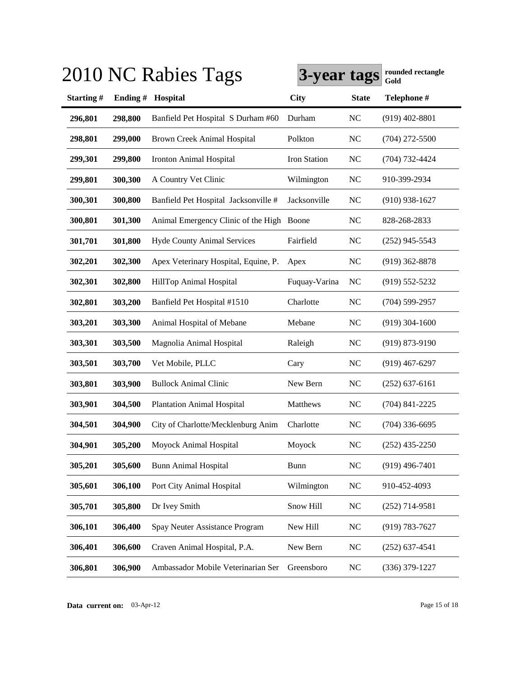|           |         | 2010 NC Rabies Tags                       | 3-year tags   |              | rounded rectangle<br>Gold |
|-----------|---------|-------------------------------------------|---------------|--------------|---------------------------|
| Starting# | Ending# | Hospital                                  | <b>City</b>   | <b>State</b> | Telephone #               |
| 296,801   | 298,800 | Banfield Pet Hospital S Durham #60        | Durham        | <b>NC</b>    | $(919)$ 402-8801          |
| 298,801   | 299,000 | <b>Brown Creek Animal Hospital</b>        | Polkton       | <b>NC</b>    | $(704)$ 272-5500          |
| 299,301   | 299,800 | <b>Ironton Animal Hospital</b>            | Iron Station  | <b>NC</b>    | $(704) 732 - 4424$        |
| 299,801   | 300,300 | A Country Vet Clinic                      | Wilmington    | <b>NC</b>    | 910-399-2934              |
| 300,301   | 300,800 | Banfield Pet Hospital Jacksonville #      | Jacksonville  | <b>NC</b>    | $(910)$ 938-1627          |
| 300,801   | 301,300 | Animal Emergency Clinic of the High Boone |               | <b>NC</b>    | 828-268-2833              |
| 301,701   | 301,800 | <b>Hyde County Animal Services</b>        | Fairfield     | <b>NC</b>    | $(252)$ 945-5543          |
| 302,201   | 302,300 | Apex Veterinary Hospital, Equine, P.      | Apex          | <b>NC</b>    | $(919)$ 362-8878          |
| 302,301   | 302,800 | HillTop Animal Hospital                   | Fuquay-Varina | <b>NC</b>    | $(919) 552 - 5232$        |
| 302,801   | 303,200 | Banfield Pet Hospital #1510               | Charlotte     | <b>NC</b>    | (704) 599-2957            |
| 303,201   | 303,300 | Animal Hospital of Mebane                 | Mebane        | <b>NC</b>    | $(919)$ 304-1600          |
| 303,301   | 303,500 | Magnolia Animal Hospital                  | Raleigh       | <b>NC</b>    | $(919) 873 - 9190$        |
| 303,501   | 303,700 | Vet Mobile, PLLC                          | Cary          | <b>NC</b>    | $(919)$ 467-6297          |
| 303,801   | 303,900 | <b>Bullock Animal Clinic</b>              | New Bern      | <b>NC</b>    | $(252)$ 637-6161          |
| 303,901   | 304,500 | <b>Plantation Animal Hospital</b>         | Matthews      | <b>NC</b>    | $(704)$ 841-2225          |
| 304,501   | 304,900 | City of Charlotte/Mecklenburg Anim        | Charlotte     | <b>NC</b>    | $(704)$ 336-6695          |
| 304,901   | 305,200 | Moyock Animal Hospital                    | Moyock        | <b>NC</b>    | $(252)$ 435-2250          |
| 305,201   | 305,600 | <b>Bunn Animal Hospital</b>               | <b>Bunn</b>   | <b>NC</b>    | $(919)$ 496-7401          |
| 305,601   | 306,100 | Port City Animal Hospital                 | Wilmington    | <b>NC</b>    | 910-452-4093              |
| 305,701   | 305,800 | Dr Ivey Smith                             | Snow Hill     | <b>NC</b>    | $(252)$ 714-9581          |
| 306,101   | 306,400 | Spay Neuter Assistance Program            | New Hill      | <b>NC</b>    | (919) 783-7627            |
| 306,401   | 306,600 | Craven Animal Hospital, P.A.              | New Bern      | <b>NC</b>    | $(252)$ 637-4541          |
| 306,801   | 306,900 | Ambassador Mobile Veterinarian Ser        | Greensboro    | <b>NC</b>    | $(336)$ 379-1227          |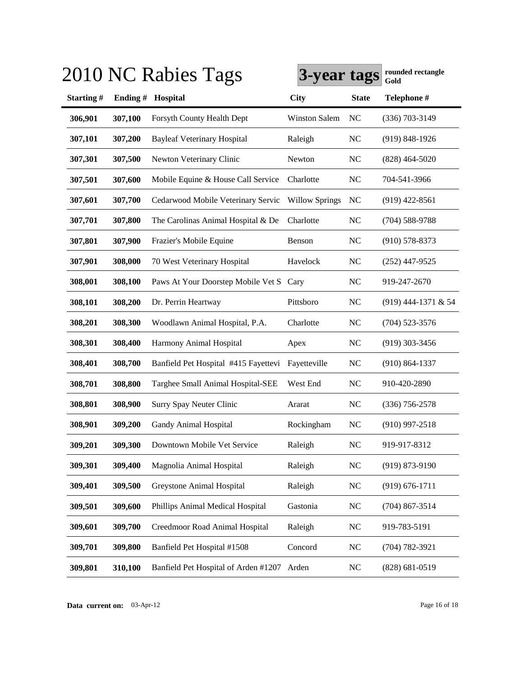|           |         | 2010 NC Rabies Tags                  | 3-year tags           |              | rounded rectangle<br>Gold |
|-----------|---------|--------------------------------------|-----------------------|--------------|---------------------------|
| Starting# | Ending# | Hospital                             | <b>City</b>           | <b>State</b> | Telephone #               |
| 306,901   | 307,100 | Forsyth County Health Dept           | Winston Salem         | NC           | (336) 703-3149            |
| 307,101   | 307,200 | <b>Bayleaf Veterinary Hospital</b>   | Raleigh               | <b>NC</b>    | $(919) 848 - 1926$        |
| 307,301   | 307,500 | Newton Veterinary Clinic             | Newton                | <b>NC</b>    | $(828)$ 464-5020          |
| 307,501   | 307,600 | Mobile Equine & House Call Service   | Charlotte             | <b>NC</b>    | 704-541-3966              |
| 307,601   | 307,700 | Cedarwood Mobile Veterinary Servic   | <b>Willow Springs</b> | <b>NC</b>    | $(919)$ 422-8561          |
| 307,701   | 307,800 | The Carolinas Animal Hospital & De   | Charlotte             | <b>NC</b>    | $(704) 588 - 9788$        |
| 307,801   | 307,900 | Frazier's Mobile Equine              | Benson                | <b>NC</b>    | $(910)$ 578-8373          |
| 307,901   | 308,000 | 70 West Veterinary Hospital          | Havelock              | <b>NC</b>    | $(252)$ 447-9525          |
| 308,001   | 308,100 | Paws At Your Doorstep Mobile Vet S   | Cary                  | <b>NC</b>    | 919-247-2670              |
| 308,101   | 308,200 | Dr. Perrin Heartway                  | Pittsboro             | <b>NC</b>    | (919) 444-1371 & 54       |
| 308,201   | 308,300 | Woodlawn Animal Hospital, P.A.       | Charlotte             | <b>NC</b>    | $(704)$ 523-3576          |
| 308,301   | 308,400 | Harmony Animal Hospital              | Apex                  | <b>NC</b>    | $(919)$ 303-3456          |
| 308,401   | 308,700 | Banfield Pet Hospital #415 Fayettevi | Fayetteville          | <b>NC</b>    | $(910) 864 - 1337$        |
| 308,701   | 308,800 | Targhee Small Animal Hospital-SEE    | West End              | <b>NC</b>    | 910-420-2890              |
| 308,801   | 308,900 | Surry Spay Neuter Clinic             | Ararat                | <b>NC</b>    | $(336)$ 756-2578          |
| 308,901   | 309,200 | Gandy Animal Hospital                | Rockingham            | <b>NC</b>    | $(910)$ 997-2518          |
| 309,201   | 309,300 | Downtown Mobile Vet Service          | Raleigh               | <b>NC</b>    | 919-917-8312              |
| 309,301   | 309,400 | Magnolia Animal Hospital             | Raleigh               | <b>NC</b>    | $(919) 873 - 9190$        |
| 309,401   | 309,500 | Greystone Animal Hospital            | Raleigh               | <b>NC</b>    | $(919) 676 - 1711$        |
| 309,501   | 309,600 | Phillips Animal Medical Hospital     | Gastonia              | <b>NC</b>    | $(704)$ 867-3514          |
| 309,601   | 309,700 | Creedmoor Road Animal Hospital       | Raleigh               | <b>NC</b>    | 919-783-5191              |
| 309,701   | 309,800 | Banfield Pet Hospital #1508          | Concord               | <b>NC</b>    | (704) 782-3921            |
| 309,801   | 310,100 | Banfield Pet Hospital of Arden #1207 | Arden                 | <b>NC</b>    | $(828) 681 - 0519$        |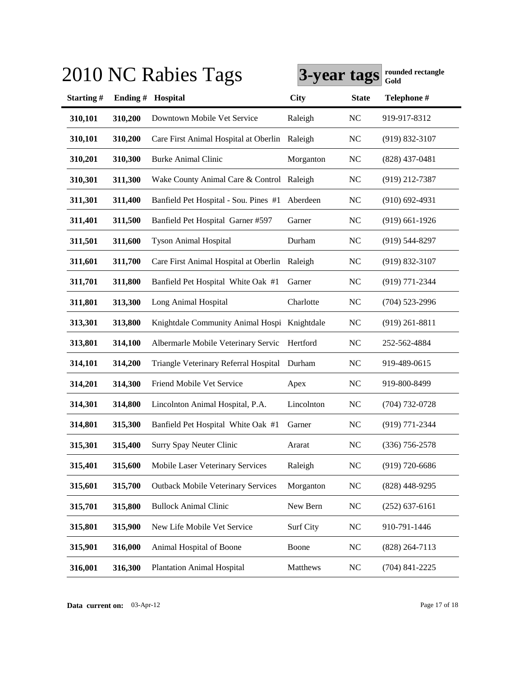|           |         | 2010 NC Rabies Tags                           | 3-year tags |              | rounded rectangle<br>Gold |
|-----------|---------|-----------------------------------------------|-------------|--------------|---------------------------|
| Starting# | Ending# | Hospital                                      | <b>City</b> | <b>State</b> | Telephone #               |
| 310,101   | 310,200 | Downtown Mobile Vet Service                   | Raleigh     | <b>NC</b>    | 919-917-8312              |
| 310,101   | 310,200 | Care First Animal Hospital at Oberlin Raleigh |             | NC           | $(919) 832 - 3107$        |
| 310,201   | 310,300 | <b>Burke Animal Clinic</b>                    | Morganton   | <b>NC</b>    | $(828)$ 437-0481          |
| 310,301   | 311,300 | Wake County Animal Care & Control Raleigh     |             | <b>NC</b>    | (919) 212-7387            |
| 311,301   | 311,400 | Banfield Pet Hospital - Sou. Pines #1         | Aberdeen    | <b>NC</b>    | $(910)$ 692-4931          |
| 311,401   | 311,500 | Banfield Pet Hospital Garner #597             | Garner      | <b>NC</b>    | $(919)$ 661-1926          |
| 311,501   | 311,600 | <b>Tyson Animal Hospital</b>                  | Durham      | <b>NC</b>    | (919) 544-8297            |
| 311,601   | 311,700 | Care First Animal Hospital at Oberlin Raleigh |             | <b>NC</b>    | $(919) 832 - 3107$        |
| 311,701   | 311,800 | Banfield Pet Hospital White Oak #1            | Garner      | <b>NC</b>    | $(919) 771 - 2344$        |
| 311,801   | 313,300 | Long Animal Hospital                          | Charlotte   | <b>NC</b>    | $(704)$ 523-2996          |
| 313,301   | 313,800 | Knightdale Community Animal Hospi Knightdale  |             | <b>NC</b>    | $(919)$ 261-8811          |
| 313,801   | 314,100 | Albermarle Mobile Veterinary Servic           | Hertford    | <b>NC</b>    | 252-562-4884              |
| 314,101   | 314,200 | Triangle Veterinary Referral Hospital         | Durham      | <b>NC</b>    | 919-489-0615              |
| 314,201   | 314,300 | Friend Mobile Vet Service                     | Apex        | <b>NC</b>    | 919-800-8499              |
| 314,301   | 314,800 | Lincolnton Animal Hospital, P.A.              | Lincolnton  | <b>NC</b>    | $(704) 732 - 0728$        |
| 314,801   | 315,300 | Banfield Pet Hospital White Oak #1            | Garner      | <b>NC</b>    | (919) 771-2344            |
| 315,301   | 315,400 | Surry Spay Neuter Clinic                      | Ararat      | <b>NC</b>    | $(336)$ 756-2578          |
| 315,401   | 315,600 | Mobile Laser Veterinary Services              | Raleigh     | <b>NC</b>    | $(919) 720 - 6686$        |
| 315,601   | 315,700 | <b>Outback Mobile Veterinary Services</b>     | Morganton   | <b>NC</b>    | $(828)$ 448-9295          |
| 315,701   | 315,800 | <b>Bullock Animal Clinic</b>                  | New Bern    | <b>NC</b>    | $(252)$ 637-6161          |
| 315,801   | 315,900 | New Life Mobile Vet Service                   | Surf City   | <b>NC</b>    | 910-791-1446              |
| 315,901   | 316,000 | Animal Hospital of Boone                      | Boone       | <b>NC</b>    | $(828)$ 264-7113          |
| 316,001   | 316,300 | <b>Plantation Animal Hospital</b>             | Matthews    | <b>NC</b>    | $(704)$ 841-2225          |